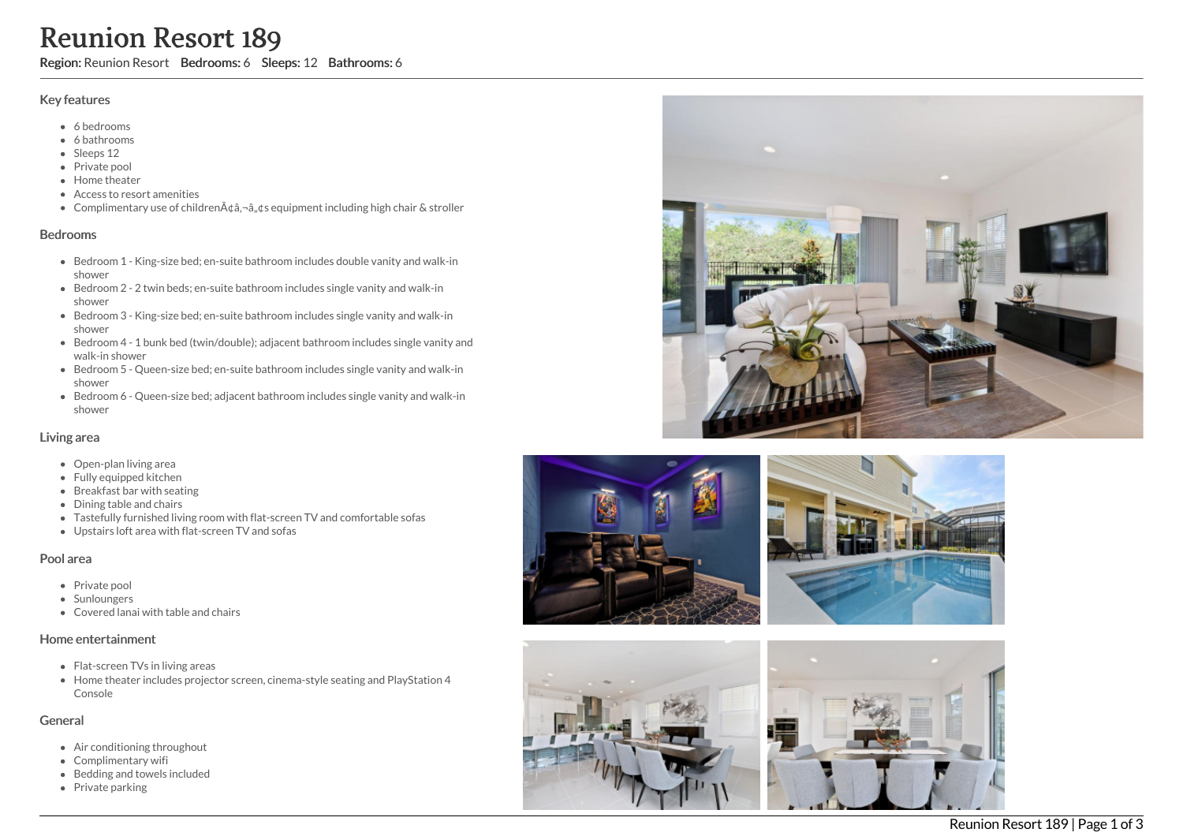# Reunion Resort 189

Region: Reunion Resort Bedrooms: 6 Sleeps: 12 Bathrooms: 6

#### Key features

- 6 b e d r o o m s
- 6 bathrooms
- Sleeps 12
- Private pool
- Home theat e r
- Access to resort amenities
- Complimentary use of childrenââ,¬â"¢s equipment including high chair & stroller

#### **Bedrooms**

- Bedroom 1 King-size bed; en-suite bathroom includes double vanity and walk-in s h o w e r
- Bedroom 2 2 twin beds; en-suite bathroom includes single vanity and walk-in s h o w e r
- Bedroom 3 King-size bed; en-suite bathroom includes single vanity and walk-in s h o w e r
- Bedroom 4 1 bunk bed (twin/double); adjacent bathroom includes single vanity and walk-in shower
- Bedroom 5 Queen-size bed; en-suite bathroom includes single vanity and walk-in s h o w e r
- Bedroom 6 Queen-size bed; adjacent bathroom includes single vanity and walk-in s h o w e r

#### Living area

- Open-plan living area
- Fully equipped kitchen
- Breakfast bar with seating
- Dining table and chairs
- Tastefully furnished living room with flat-screen TV and comfortable sofas
- Upstairs loft area with flat-screen TV and sofas

## Pool area

- Private pool
- Sunloungers
- Covered lanai with table and chairs

## Home entertainment

- Flat-screen TVs in living areas
- Home theater includes projector screen, cinema-style seating and PlayStation 4 Console

## General

- Air conditioning throughout
- Complimentary wifi
- Bedding and towels in clu d e d
- Private parking







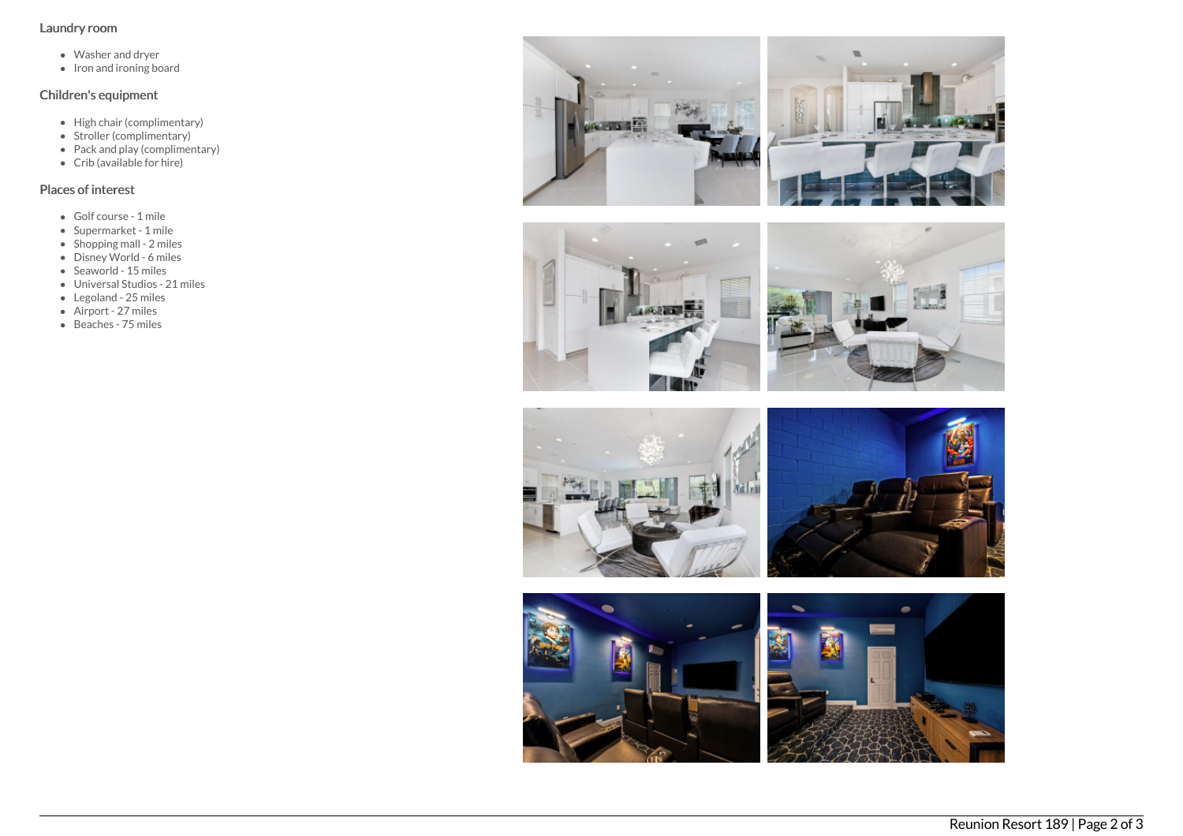## Laundry room

- Washer and dryer
- $\bullet$  Iron and ironing board

## Children's equipment

- High chair (complimentary)
- Stroller (complimentary)
- Pack and play (complimentary)
- Crib (available for hire)

# Places of interest

- Golf course 1 mile
- Supermarket 1 mile
- Shopping mall 2 miles
- Disney World 6 miles
- $\bullet$  Seaworld 15 miles
- Universal Studios 21 miles
- Legoland 25 miles
- Airport 27 miles
- *Rippit* 27 miles